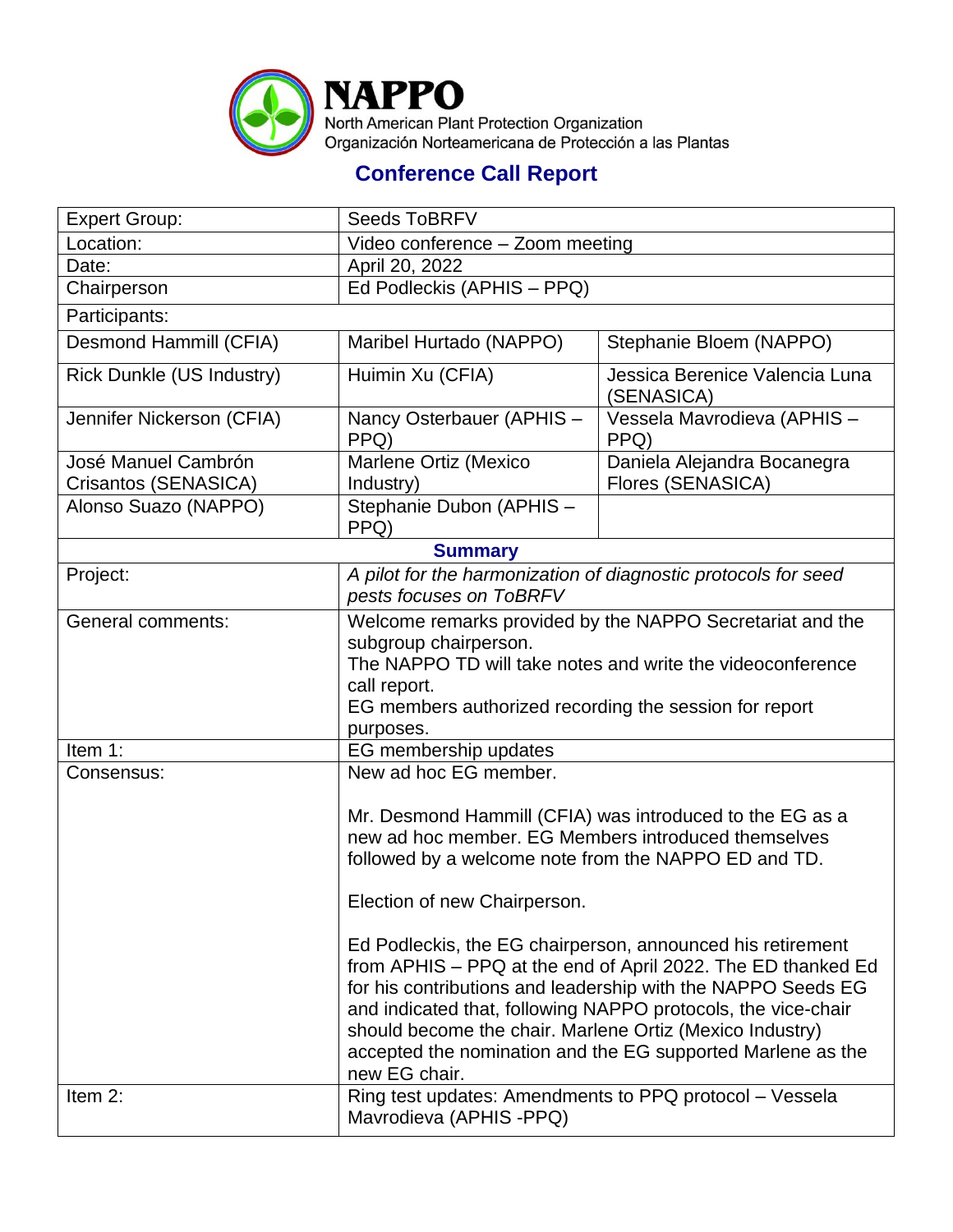

## **Conference Call Report**

| <b>Expert Group:</b>                        | <b>Seeds ToBRFV</b>                                                                                                                                                                                                                                                                                                                                                                                     |                                                         |  |
|---------------------------------------------|---------------------------------------------------------------------------------------------------------------------------------------------------------------------------------------------------------------------------------------------------------------------------------------------------------------------------------------------------------------------------------------------------------|---------------------------------------------------------|--|
| Location:                                   | Video conference - Zoom meeting                                                                                                                                                                                                                                                                                                                                                                         |                                                         |  |
| Date:                                       | April 20, 2022                                                                                                                                                                                                                                                                                                                                                                                          |                                                         |  |
| Chairperson                                 | Ed Podleckis (APHIS - PPQ)                                                                                                                                                                                                                                                                                                                                                                              |                                                         |  |
| Participants:                               |                                                                                                                                                                                                                                                                                                                                                                                                         |                                                         |  |
| Desmond Hammill (CFIA)                      | Maribel Hurtado (NAPPO)                                                                                                                                                                                                                                                                                                                                                                                 | Stephanie Bloem (NAPPO)                                 |  |
| <b>Rick Dunkle (US Industry)</b>            | Huimin Xu (CFIA)                                                                                                                                                                                                                                                                                                                                                                                        | Jessica Berenice Valencia Luna<br>(SENASICA)            |  |
| Jennifer Nickerson (CFIA)                   | Nancy Osterbauer (APHIS -<br>PPQ)                                                                                                                                                                                                                                                                                                                                                                       | Vessela Mavrodieva (APHIS -<br>PPQ)                     |  |
| José Manuel Cambrón<br>Crisantos (SENASICA) | Marlene Ortiz (Mexico<br>Industry)                                                                                                                                                                                                                                                                                                                                                                      | Daniela Alejandra Bocanegra<br><b>Flores (SENASICA)</b> |  |
| Alonso Suazo (NAPPO)                        | Stephanie Dubon (APHIS -<br>PPQ)                                                                                                                                                                                                                                                                                                                                                                        |                                                         |  |
| <b>Summary</b>                              |                                                                                                                                                                                                                                                                                                                                                                                                         |                                                         |  |
| Project:                                    | A pilot for the harmonization of diagnostic protocols for seed<br>pests focuses on ToBRFV                                                                                                                                                                                                                                                                                                               |                                                         |  |
| <b>General comments:</b>                    | Welcome remarks provided by the NAPPO Secretariat and the<br>subgroup chairperson.<br>The NAPPO TD will take notes and write the videoconference<br>call report.<br>EG members authorized recording the session for report<br>purposes.                                                                                                                                                                 |                                                         |  |
| Item 1:                                     | EG membership updates                                                                                                                                                                                                                                                                                                                                                                                   |                                                         |  |
| Consensus:                                  | New ad hoc EG member.                                                                                                                                                                                                                                                                                                                                                                                   |                                                         |  |
|                                             | Mr. Desmond Hammill (CFIA) was introduced to the EG as a<br>new ad hoc member. EG Members introduced themselves<br>followed by a welcome note from the NAPPO ED and TD.                                                                                                                                                                                                                                 |                                                         |  |
|                                             | Election of new Chairperson.                                                                                                                                                                                                                                                                                                                                                                            |                                                         |  |
|                                             | Ed Podleckis, the EG chairperson, announced his retirement<br>from APHIS – PPQ at the end of April 2022. The ED thanked Ed<br>for his contributions and leadership with the NAPPO Seeds EG<br>and indicated that, following NAPPO protocols, the vice-chair<br>should become the chair. Marlene Ortiz (Mexico Industry)<br>accepted the nomination and the EG supported Marlene as the<br>new EG chair. |                                                         |  |
| Item 2:                                     | Ring test updates: Amendments to PPQ protocol - Vessela<br>Mavrodieva (APHIS -PPQ)                                                                                                                                                                                                                                                                                                                      |                                                         |  |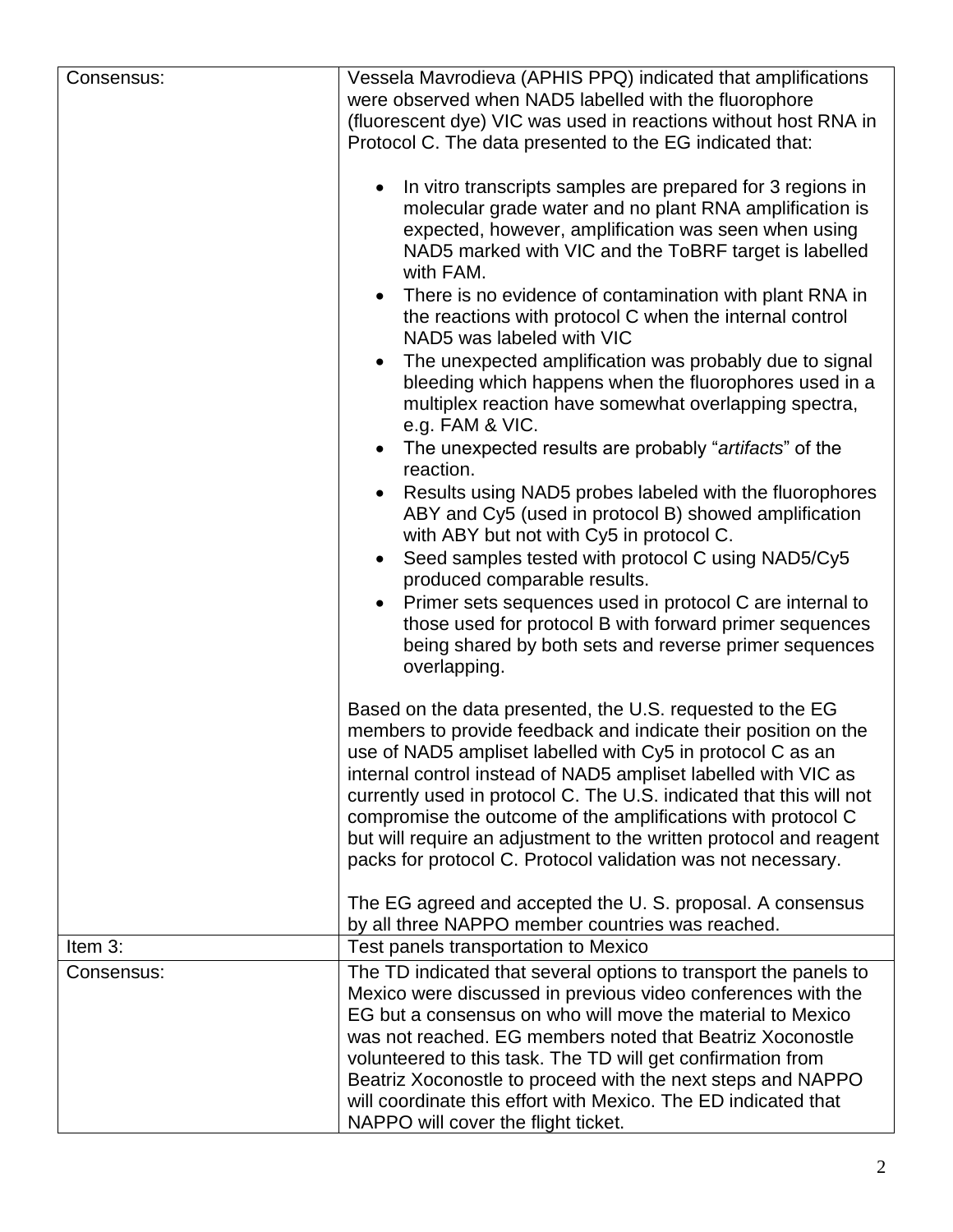| Consensus: | Vessela Mavrodieva (APHIS PPQ) indicated that amplifications                                                                                                                                                                                                                                                                                                                                              |  |  |
|------------|-----------------------------------------------------------------------------------------------------------------------------------------------------------------------------------------------------------------------------------------------------------------------------------------------------------------------------------------------------------------------------------------------------------|--|--|
|            | were observed when NAD5 labelled with the fluorophore                                                                                                                                                                                                                                                                                                                                                     |  |  |
|            | (fluorescent dye) VIC was used in reactions without host RNA in                                                                                                                                                                                                                                                                                                                                           |  |  |
|            | Protocol C. The data presented to the EG indicated that:                                                                                                                                                                                                                                                                                                                                                  |  |  |
|            |                                                                                                                                                                                                                                                                                                                                                                                                           |  |  |
|            | In vitro transcripts samples are prepared for 3 regions in                                                                                                                                                                                                                                                                                                                                                |  |  |
|            | molecular grade water and no plant RNA amplification is                                                                                                                                                                                                                                                                                                                                                   |  |  |
|            | expected, however, amplification was seen when using                                                                                                                                                                                                                                                                                                                                                      |  |  |
|            | NAD5 marked with VIC and the ToBRF target is labelled<br>with FAM.                                                                                                                                                                                                                                                                                                                                        |  |  |
|            | There is no evidence of contamination with plant RNA in                                                                                                                                                                                                                                                                                                                                                   |  |  |
|            | the reactions with protocol C when the internal control<br>NAD5 was labeled with VIC                                                                                                                                                                                                                                                                                                                      |  |  |
|            | The unexpected amplification was probably due to signal                                                                                                                                                                                                                                                                                                                                                   |  |  |
|            | bleeding which happens when the fluorophores used in a<br>multiplex reaction have somewhat overlapping spectra,<br>e.g. FAM & VIC.<br>The unexpected results are probably "artifacts" of the<br>reaction.<br>Results using NAD5 probes labeled with the fluorophores                                                                                                                                      |  |  |
|            |                                                                                                                                                                                                                                                                                                                                                                                                           |  |  |
|            |                                                                                                                                                                                                                                                                                                                                                                                                           |  |  |
|            |                                                                                                                                                                                                                                                                                                                                                                                                           |  |  |
|            | ABY and Cy5 (used in protocol B) showed amplification                                                                                                                                                                                                                                                                                                                                                     |  |  |
|            | with ABY but not with Cy5 in protocol C.                                                                                                                                                                                                                                                                                                                                                                  |  |  |
|            | Seed samples tested with protocol C using NAD5/Cy5                                                                                                                                                                                                                                                                                                                                                        |  |  |
|            | produced comparable results.                                                                                                                                                                                                                                                                                                                                                                              |  |  |
|            | Primer sets sequences used in protocol C are internal to                                                                                                                                                                                                                                                                                                                                                  |  |  |
|            | those used for protocol B with forward primer sequences                                                                                                                                                                                                                                                                                                                                                   |  |  |
|            | being shared by both sets and reverse primer sequences                                                                                                                                                                                                                                                                                                                                                    |  |  |
|            | overlapping.                                                                                                                                                                                                                                                                                                                                                                                              |  |  |
|            | Based on the data presented, the U.S. requested to the EG                                                                                                                                                                                                                                                                                                                                                 |  |  |
|            | members to provide feedback and indicate their position on the                                                                                                                                                                                                                                                                                                                                            |  |  |
|            | use of NAD5 ampliset labelled with Cy5 in protocol C as an<br>internal control instead of NAD5 ampliset labelled with VIC as<br>currently used in protocol C. The U.S. indicated that this will not<br>compromise the outcome of the amplifications with protocol C<br>but will require an adjustment to the written protocol and reagent<br>packs for protocol C. Protocol validation was not necessary. |  |  |
|            |                                                                                                                                                                                                                                                                                                                                                                                                           |  |  |
|            |                                                                                                                                                                                                                                                                                                                                                                                                           |  |  |
|            |                                                                                                                                                                                                                                                                                                                                                                                                           |  |  |
|            |                                                                                                                                                                                                                                                                                                                                                                                                           |  |  |
|            |                                                                                                                                                                                                                                                                                                                                                                                                           |  |  |
|            | The EG agreed and accepted the U.S. proposal. A consensus                                                                                                                                                                                                                                                                                                                                                 |  |  |
|            | by all three NAPPO member countries was reached.                                                                                                                                                                                                                                                                                                                                                          |  |  |
| Item 3:    | Test panels transportation to Mexico                                                                                                                                                                                                                                                                                                                                                                      |  |  |
| Consensus: | The TD indicated that several options to transport the panels to                                                                                                                                                                                                                                                                                                                                          |  |  |
|            | Mexico were discussed in previous video conferences with the                                                                                                                                                                                                                                                                                                                                              |  |  |
|            | EG but a consensus on who will move the material to Mexico                                                                                                                                                                                                                                                                                                                                                |  |  |
|            | was not reached. EG members noted that Beatriz Xoconostle                                                                                                                                                                                                                                                                                                                                                 |  |  |
|            | volunteered to this task. The TD will get confirmation from                                                                                                                                                                                                                                                                                                                                               |  |  |
|            | Beatriz Xoconostle to proceed with the next steps and NAPPO                                                                                                                                                                                                                                                                                                                                               |  |  |
|            | will coordinate this effort with Mexico. The ED indicated that<br>NAPPO will cover the flight ticket.                                                                                                                                                                                                                                                                                                     |  |  |
|            |                                                                                                                                                                                                                                                                                                                                                                                                           |  |  |